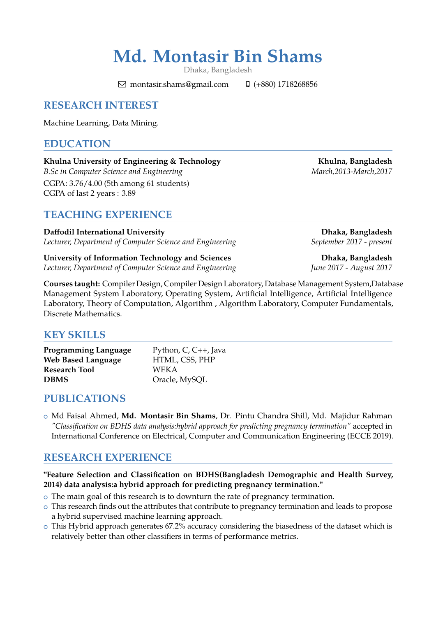# **Md. Montasir Bin Shams**

Dhaka, Bangladesh

 $\boxdot$  montasir.shams@gmail.com  $\Box$  (+880) 1718268856

# **RESEARCH INTEREST**

Machine Learning, Data Mining.

### **EDUCATION**

Khulna University of Engineering & Technology **Khulna, Bangladesh** *B.Sc in Computer Science and Engineering* March,2013-March,2017 CGPA: 3.76/4.00 (5th among 61 students) CGPA of last 2 years : 3.89

**TEACHING EXPERIENCE**

**Daffodil International University Dhaka, Bangladesh** *Lecturer, Department of Computer Science and Engineering* September 2017 - *present* 

**University of Information Technology and Sciences Dhaka, Bangladesh** *Lecturer, Department of Computer Science and Engineering June 2017 - August 2017*

**Courses taught:** Compiler Design, Compiler Design Laboratory, Database Management System,Database Management System Laboratory, Operating System, Artificial Intelligence, Artificial Intelligence Laboratory, Theory of Computation, Algorithm , Algorithm Laboratory, Computer Fundamentals, Discrete Mathematics.

## **KEY SKILLS**

| <b>Programming Language</b> | Python, C, C++, Java |
|-----------------------------|----------------------|
| <b>Web Based Language</b>   | HTML, CSS, PHP       |
| <b>Research Tool</b>        | <b>WEKA</b>          |
| <b>DBMS</b>                 | Oracle, MySQL        |

## **PUBLICATIONS**

<sup>+</sup> Md Faisal Ahmed, **Md. Montasir Bin Shams**, Dr. Pintu Chandra Shill, Md. Majidur Rahman *"Classification on BDHS data analysis:hybrid approach for predicting pregnancy termination"* accepted in International Conference on Electrical, Computer and Communication Engineering (ECCE 2019).

# **RESEARCH EXPERIENCE**

**"Feature Selection and Classification on BDHS(Bangladesh Demographic and Health Survey, 2014) data analysis:a hybrid approach for predicting pregnancy termination."**

- $\circ$  The main goal of this research is to downturn the rate of pregnancy termination.
- o This research finds out the attributes that contribute to pregnancy termination and leads to propose a hybrid supervised machine learning approach.
- o This Hybrid approach generates 67.2% accuracy considering the biasedness of the dataset which is relatively better than other classifiers in terms of performance metrics.